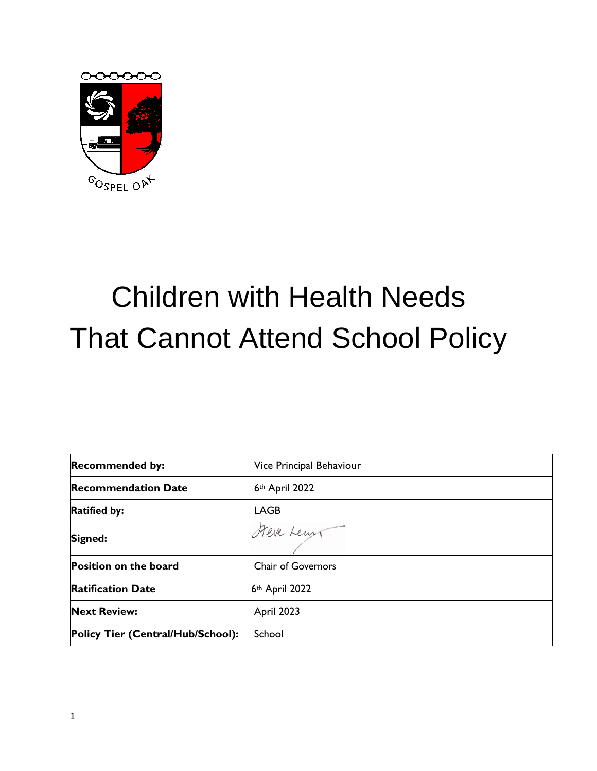

# Children with Health Needs That Cannot Attend School Policy

| <b>Recommended by:</b>            | Vice Principal Behaviour  |
|-----------------------------------|---------------------------|
| <b>Recommendation Date</b>        | 6th April 2022            |
| <b>Ratified by:</b>               | <b>LAGB</b>               |
| Signed:                           | Steve Lenit.              |
| <b>Position on the board</b>      | <b>Chair of Governors</b> |
| <b>Ratification Date</b>          | 6th April 2022            |
| <b>Next Review:</b>               | April 2023                |
| Policy Tier (Central/Hub/School): | School                    |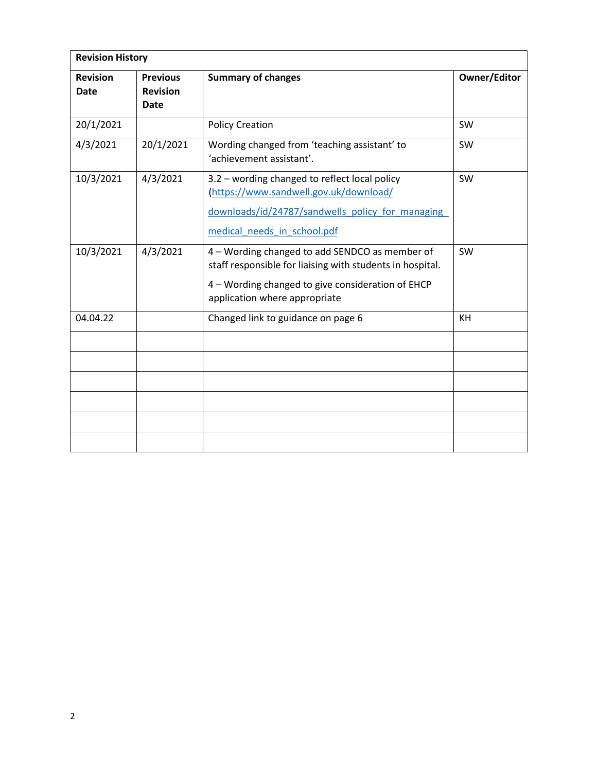| <b>Revision</b><br><b>Date</b> | <b>Previous</b><br><b>Revision</b><br>Date | <b>Summary of changes</b>                                                                                                                                                                         | <b>Owner/Editor</b> |
|--------------------------------|--------------------------------------------|---------------------------------------------------------------------------------------------------------------------------------------------------------------------------------------------------|---------------------|
| 20/1/2021                      |                                            | <b>Policy Creation</b>                                                                                                                                                                            | SW                  |
| 4/3/2021                       | 20/1/2021                                  | Wording changed from 'teaching assistant' to<br>'achievement assistant'.                                                                                                                          | SW                  |
| 10/3/2021                      | 4/3/2021                                   | 3.2 - wording changed to reflect local policy<br>(https://www.sandwell.gov.uk/download/<br>downloads/id/24787/sandwells policy for managing<br>medical needs in school.pdf                        | SW                  |
| 10/3/2021                      | 4/3/2021                                   | 4 - Wording changed to add SENDCO as member of<br>staff responsible for liaising with students in hospital.<br>4 - Wording changed to give consideration of EHCP<br>application where appropriate | SW                  |
| 04.04.22                       |                                            | Changed link to guidance on page 6                                                                                                                                                                | KH                  |
|                                |                                            |                                                                                                                                                                                                   |                     |
|                                |                                            |                                                                                                                                                                                                   |                     |
|                                |                                            |                                                                                                                                                                                                   |                     |
|                                |                                            |                                                                                                                                                                                                   |                     |
|                                |                                            |                                                                                                                                                                                                   |                     |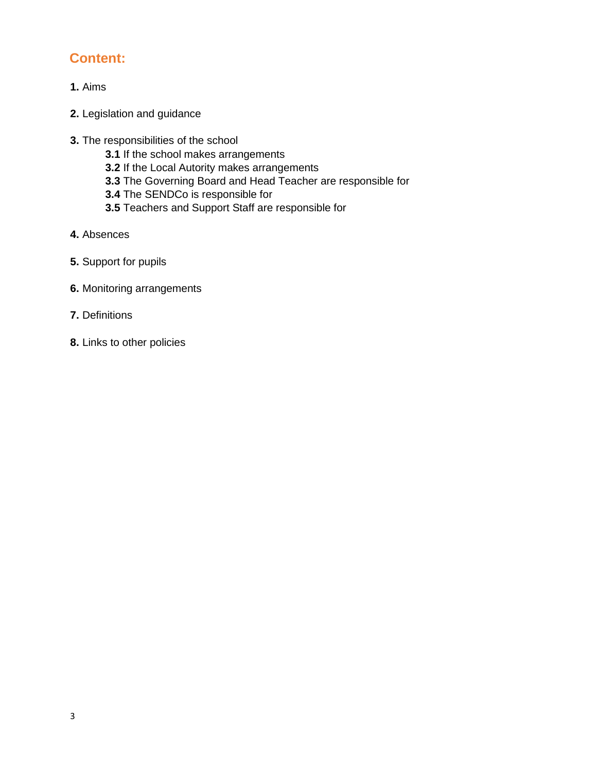# **Content:**

- **1.** Aims
- **2.** Legislation and guidance
- **3.** The responsibilities of the school
	- **3.1** If the school makes arrangements
	- **3.2** If the Local Autority makes arrangements
	- **3.3** The Governing Board and Head Teacher are responsible for
	- **3.4** The SENDCo is responsible for
	- **3.5** Teachers and Support Staff are responsible for
- **4.** Absences
- **5.** Support for pupils
- **6.** Monitoring arrangements
- **7.** Definitions
- **8.** Links to other policies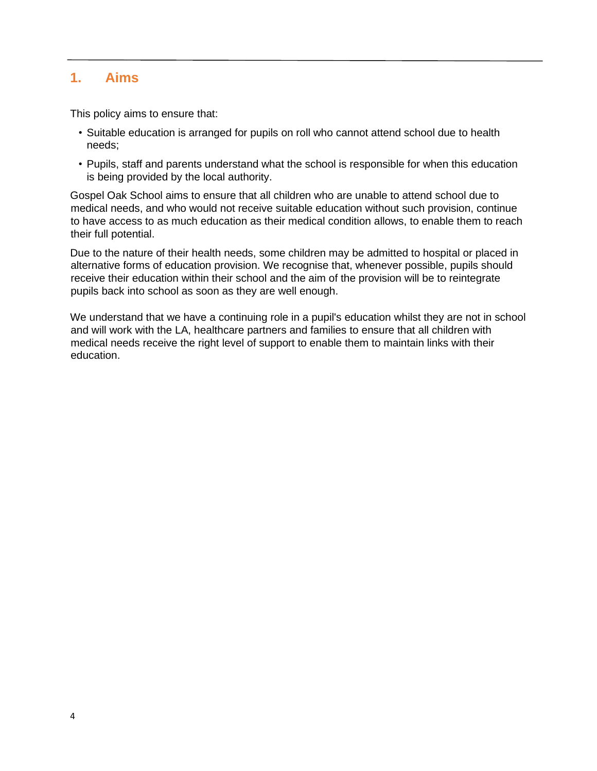#### **1. Aims**

This policy aims to ensure that:

- Suitable education is arranged for pupils on roll who cannot attend school due to health needs;
- Pupils, staff and parents understand what the school is responsible for when this education is being provided by the local authority.

Gospel Oak School aims to ensure that all children who are unable to attend school due to medical needs, and who would not receive suitable education without such provision, continue to have access to as much education as their medical condition allows, to enable them to reach their full potential.

Due to the nature of their health needs, some children may be admitted to hospital or placed in alternative forms of education provision. We recognise that, whenever possible, pupils should receive their education within their school and the aim of the provision will be to reintegrate pupils back into school as soon as they are well enough.

We understand that we have a continuing role in a pupil's education whilst they are not in school and will work with the LA, healthcare partners and families to ensure that all children with medical needs receive the right level of support to enable them to maintain links with their education.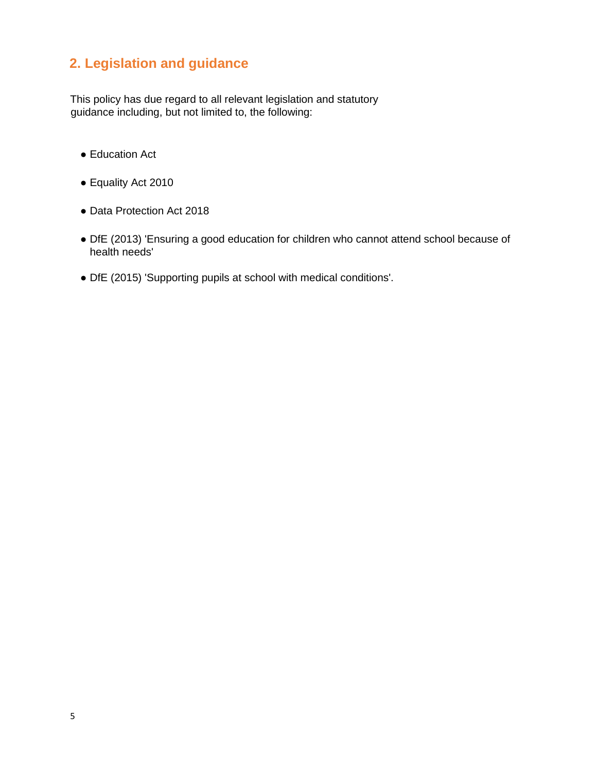# **2. Legislation and guidance**

This policy has due regard to all relevant legislation and statutory guidance including, but not limited to, the following:

- Educa[t](http://www.legislation.gov.uk/ukpga/1996/56/section/19)ion Act
- Equality Act 2010
- Data Protection Act 2018
- DfE (2013) 'Ensuring a good education for children who cannot attend school because of health needs'
- DfE (2015) 'Supporting pupils at school with medical conditions'.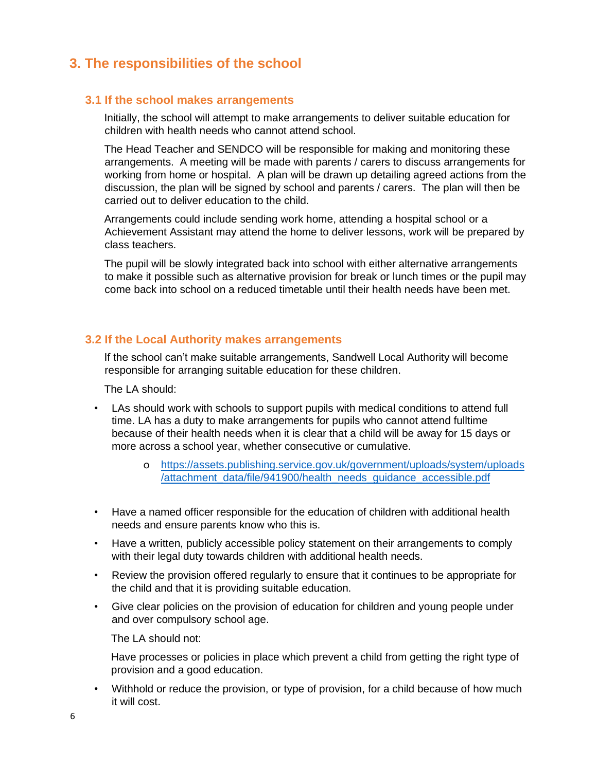## **3. The responsibilities of the school**

#### **3.1 If the school makes arrangements**

Initially, the school will attempt to make arrangements to deliver suitable education for children with health needs who cannot attend school.

The Head Teacher and SENDCO will be responsible for making and monitoring these arrangements. A meeting will be made with parents / carers to discuss arrangements for working from home or hospital. A plan will be drawn up detailing agreed actions from the discussion, the plan will be signed by school and parents / carers. The plan will then be carried out to deliver education to the child.

Arrangements could include sending work home, attending a hospital school or a Achievement Assistant may attend the home to deliver lessons, work will be prepared by class teachers.

The pupil will be slowly integrated back into school with either alternative arrangements to make it possible such as alternative provision for break or lunch times or the pupil may come back into school on a reduced timetable until their health needs have been met.

#### **3.2 If the Local Authority makes arrangements**

If the school can't make suitable arrangements, Sandwell Local Authority will become responsible for arranging suitable education for these children.

The LA should:

- LAs should work with schools to support pupils with medical conditions to attend full time. LA has a duty to make arrangements for pupils who cannot attend fulltime because of their health needs when it is clear that a child will be away for 15 days or more across a school year, whether consecutive or cumulative.
	- o [https://assets.publishing.service.gov.uk/government/uploads/system/uploads](https://assets.publishing.service.gov.uk/government/uploads/system/uploads/attachment_data/file/941900/health_needs_guidance_accessible.pdf) [/attachment\\_data/file/941900/health\\_needs\\_guidance\\_accessible.pdf](https://assets.publishing.service.gov.uk/government/uploads/system/uploads/attachment_data/file/941900/health_needs_guidance_accessible.pdf)
- Have a named officer responsible for the education of children with additional health needs and ensure parents know who this is.
- Have a written, publicly accessible policy statement on their arrangements to comply with their legal duty towards children with additional health needs.
- Review the provision offered regularly to ensure that it continues to be appropriate for the child and that it is providing suitable education.
- Give clear policies on the provision of education for children and young people under and over compulsory school age.

The LA should not:

Have processes or policies in place which prevent a child from getting the right type of provision and a good education.

• Withhold or reduce the provision, or type of provision, for a child because of how much it will cost.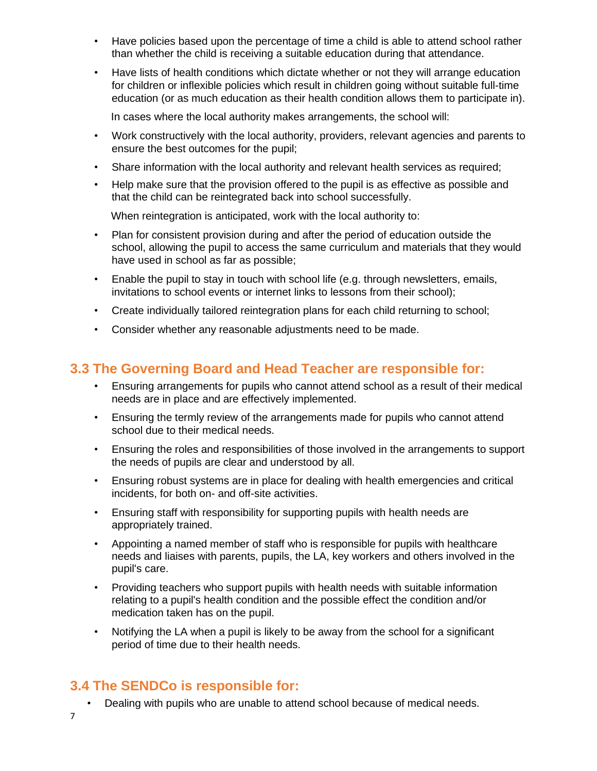- Have policies based upon the percentage of time a child is able to attend school rather than whether the child is receiving a suitable education during that attendance.
- Have lists of health conditions which dictate whether or not they will arrange education for children or inflexible policies which result in children going without suitable full-time education (or as much education as their health condition allows them to participate in).

In cases where the local authority makes arrangements, the school will:

- Work constructively with the local authority, providers, relevant agencies and parents to ensure the best outcomes for the pupil;
- Share information with the local authority and relevant health services as required;
- Help make sure that the provision offered to the pupil is as effective as possible and that the child can be reintegrated back into school successfully.

When reintegration is anticipated, work with the local authority to:

- Plan for consistent provision during and after the period of education outside the school, allowing the pupil to access the same curriculum and materials that they would have used in school as far as possible;
- Enable the pupil to stay in touch with school life (e.g. through newsletters, emails, invitations to school events or internet links to lessons from their school);
- Create individually tailored reintegration plans for each child returning to school;
- Consider whether any reasonable adjustments need to be made.

### **3.3 The Governing Board and Head Teacher are responsible for:**

- Ensuring arrangements for pupils who cannot attend school as a result of their medical needs are in place and are effectively implemented.
- Ensuring the termly review of the arrangements made for pupils who cannot attend school due to their medical needs.
- Ensuring the roles and responsibilities of those involved in the arrangements to support the needs of pupils are clear and understood by all.
- Ensuring robust systems are in place for dealing with health emergencies and critical incidents, for both on- and off-site activities.
- Ensuring staff with responsibility for supporting pupils with health needs are appropriately trained.
- Appointing a named member of staff who is responsible for pupils with healthcare needs and liaises with parents, pupils, the LA, key workers and others involved in the pupil's care.
- Providing teachers who support pupils with health needs with suitable information relating to a pupil's health condition and the possible effect the condition and/or medication taken has on the pupil.
- Notifying the LA when a pupil is likely to be away from the school for a significant period of time due to their health needs.

# **3.4 The SENDCo is responsible for:**

• Dealing with pupils who are unable to attend school because of medical needs.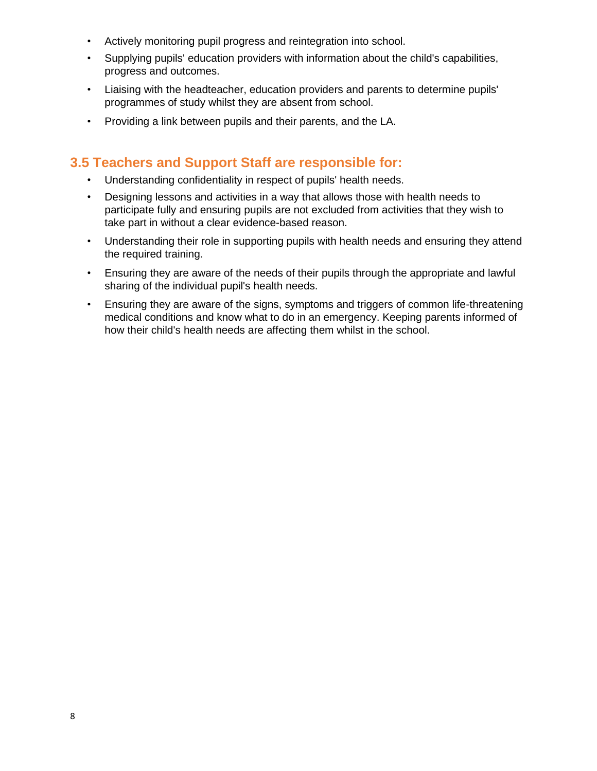- Actively monitoring pupil progress and reintegration into school.
- Supplying pupils' education providers with information about the child's capabilities, progress and outcomes.
- Liaising with the headteacher, education providers and parents to determine pupils' programmes of study whilst they are absent from school.
- Providing a link between pupils and their parents, and the LA.

#### **3.5 Teachers and Support Staff are responsible for:**

- Understanding confidentiality in respect of pupils' health needs.
- Designing lessons and activities in a way that allows those with health needs to participate fully and ensuring pupils are not excluded from activities that they wish to take part in without a clear evidence-based reason.
- Understanding their role in supporting pupils with health needs and ensuring they attend the required training.
- Ensuring they are aware of the needs of their pupils through the appropriate and lawful sharing of the individual pupil's health needs.
- Ensuring they are aware of the signs, symptoms and triggers of common life-threatening medical conditions and know what to do in an emergency. Keeping parents informed of how their child's health needs are affecting them whilst in the school.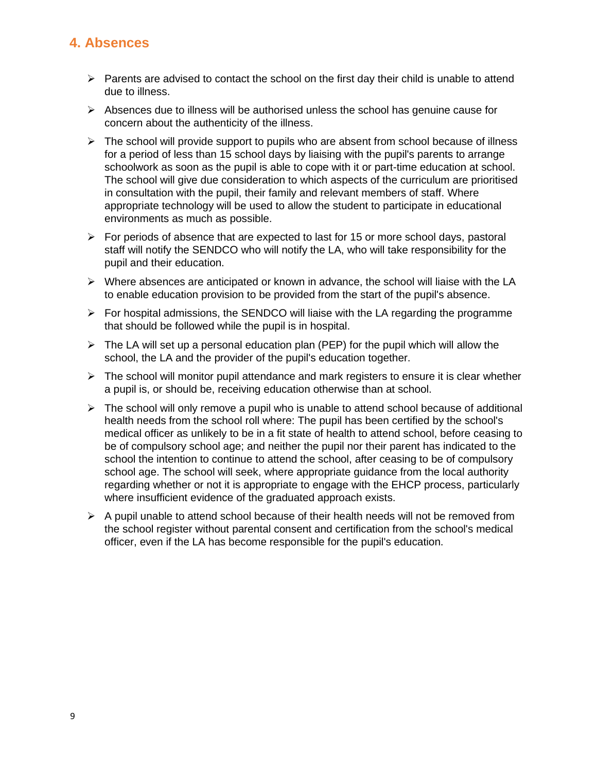#### **4. Absences**

- $\triangleright$  Parents are advised to contact the school on the first day their child is unable to attend due to illness.
- $\triangleright$  Absences due to illness will be authorised unless the school has genuine cause for concern about the authenticity of the illness.
- $\triangleright$  The school will provide support to pupils who are absent from school because of illness for a period of less than 15 school days by liaising with the pupil's parents to arrange schoolwork as soon as the pupil is able to cope with it or part-time education at school. The school will give due consideration to which aspects of the curriculum are prioritised in consultation with the pupil, their family and relevant members of staff. Where appropriate technology will be used to allow the student to participate in educational environments as much as possible.
- $\triangleright$  For periods of absence that are expected to last for 15 or more school days, pastoral staff will notify the SENDCO who will notify the LA, who will take responsibility for the pupil and their education.
- $\triangleright$  Where absences are anticipated or known in advance, the school will liaise with the LA to enable education provision to be provided from the start of the pupil's absence.
- $\triangleright$  For hospital admissions, the SENDCO will liaise with the LA regarding the programme that should be followed while the pupil is in hospital.
- $\triangleright$  The LA will set up a personal education plan (PEP) for the pupil which will allow the school, the LA and the provider of the pupil's education together.
- $\triangleright$  The school will monitor pupil attendance and mark registers to ensure it is clear whether a pupil is, or should be, receiving education otherwise than at school.
- $\triangleright$  The school will only remove a pupil who is unable to attend school because of additional health needs from the school roll where: The pupil has been certified by the school's medical officer as unlikely to be in a fit state of health to attend school, before ceasing to be of compulsory school age; and neither the pupil nor their parent has indicated to the school the intention to continue to attend the school, after ceasing to be of compulsory school age. The school will seek, where appropriate guidance from the local authority regarding whether or not it is appropriate to engage with the EHCP process, particularly where insufficient evidence of the graduated approach exists.
- $\triangleright$  A pupil unable to attend school because of their health needs will not be removed from the school register without parental consent and certification from the school's medical officer, even if the LA has become responsible for the pupil's education.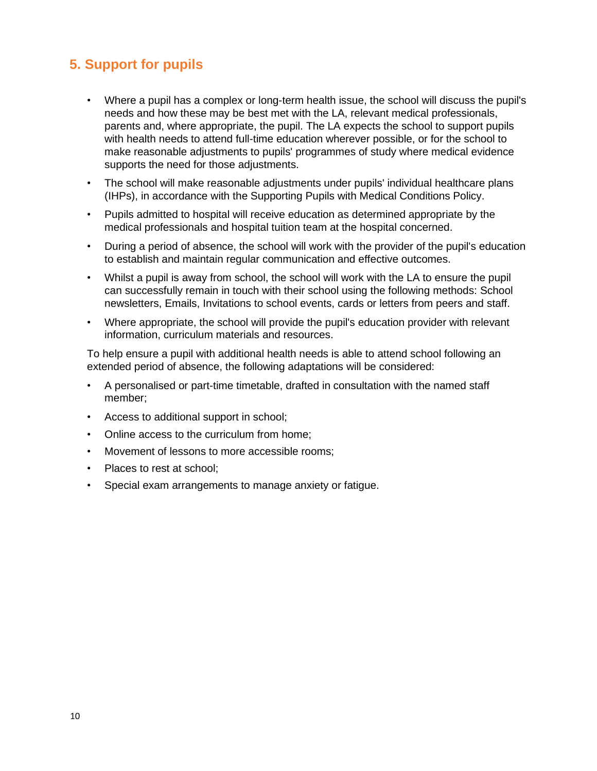# **5. Support for pupils**

- Where a pupil has a complex or long-term health issue, the school will discuss the pupil's needs and how these may be best met with the LA, relevant medical professionals, parents and, where appropriate, the pupil. The LA expects the school to support pupils with health needs to attend full-time education wherever possible, or for the school to make reasonable adjustments to pupils' programmes of study where medical evidence supports the need for those adjustments.
- The school will make reasonable adjustments under pupils' individual healthcare plans (IHPs), in accordance with the Supporting Pupils with Medical Conditions Policy.
- Pupils admitted to hospital will receive education as determined appropriate by the medical professionals and hospital tuition team at the hospital concerned.
- During a period of absence, the school will work with the provider of the pupil's education to establish and maintain regular communication and effective outcomes.
- Whilst a pupil is away from school, the school will work with the LA to ensure the pupil can successfully remain in touch with their school using the following methods: School newsletters, Emails, Invitations to school events, cards or letters from peers and staff.
- Where appropriate, the school will provide the pupil's education provider with relevant information, curriculum materials and resources.

To help ensure a pupil with additional health needs is able to attend school following an extended period of absence, the following adaptations will be considered:

- A personalised or part-time timetable, drafted in consultation with the named staff member;
- Access to additional support in school;
- Online access to the curriculum from home;
- Movement of lessons to more accessible rooms;
- Places to rest at school;
- Special exam arrangements to manage anxiety or fatigue.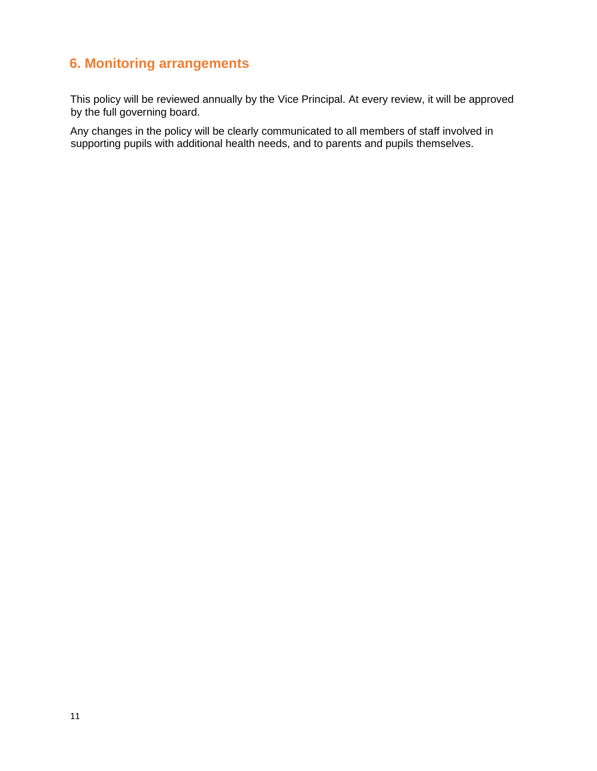## **6. Monitoring arrangements**

This policy will be reviewed annually by the Vice Principal. At every review, it will be approved by the full governing board.

Any changes in the policy will be clearly communicated to all members of staff involved in supporting pupils with additional health needs, and to parents and pupils themselves.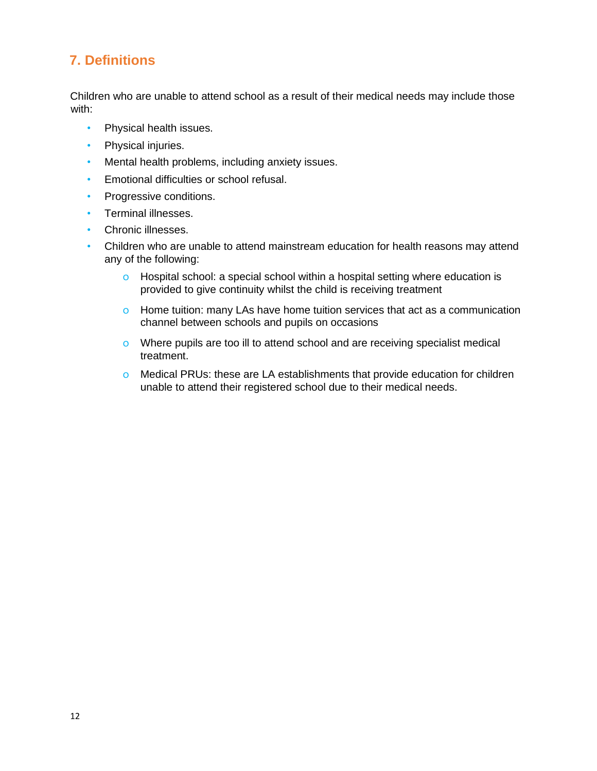# **7. Definitions**

Children who are unable to attend school as a result of their medical needs may include those with:

- Physical health issues.
- Physical injuries.
- Mental health problems, including anxiety issues.
- Emotional difficulties or school refusal.
- Progressive conditions.
- Terminal illnesses.
- Chronic illnesses.
- Children who are unable to attend mainstream education for health reasons may attend any of the following:
	- o Hospital school: a special school within a hospital setting where education is provided to give continuity whilst the child is receiving treatment
	- o Home tuition: many LAs have home tuition services that act as a communication channel between schools and pupils on occasions
	- o Where pupils are too ill to attend school and are receiving specialist medical treatment.
	- o Medical PRUs: these are LA establishments that provide education for children unable to attend their registered school due to their medical needs.